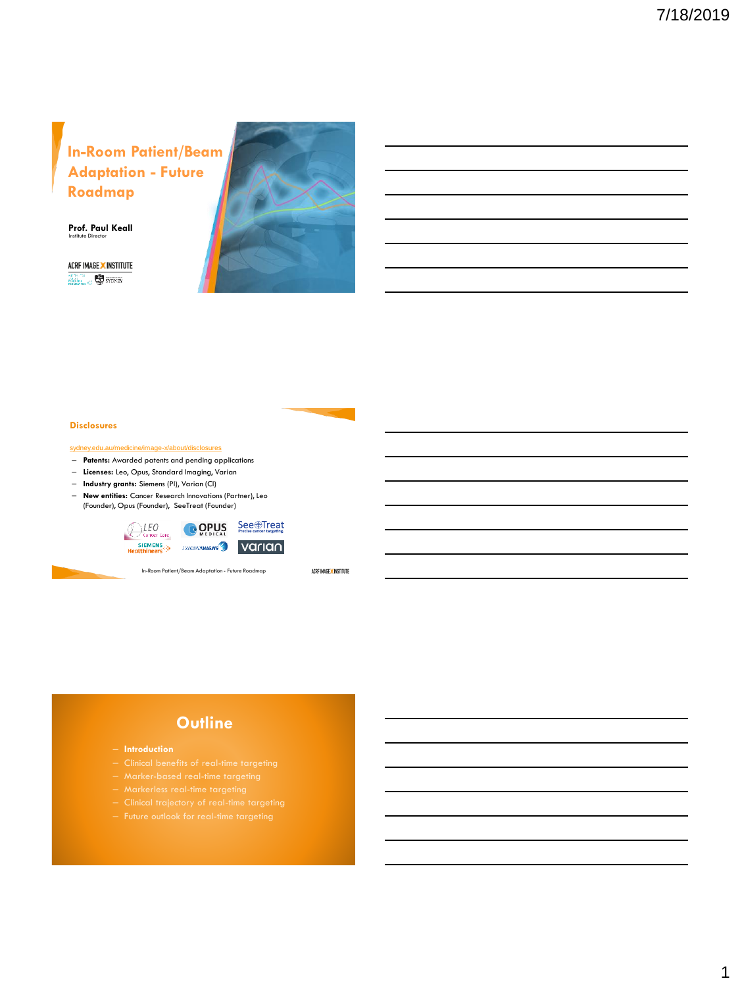# **In-Room Patient/Beam Adaptation - Future Roadmap**

**Prof. Paul Keall** Institute Director

ACRF IMAGE X INSTITUTE  $\overbrace{{\rm Hom}_{\rm BFGN}}^{\rm 200~\rm 100~\rm 100~\rm 100~\rm 100~\rm 100~\rm 100~\rm 100~\rm 100~\rm 100~\rm 100~\rm 100~\rm 100~\rm 100~\rm 100~\rm 100~\rm 100~\rm 100~\rm 100~\rm 100~\rm 100~\rm 100~\rm 100~\rm 100~\rm 100~\rm 100~\rm 100~\rm 100~\rm 100~\rm$ 



### **Disclosures**

[sydney.edu.au/medicine/image-x/about/disclosures](http://http/sydney.edu.au/medicine/image-x/about/disclosures.php)

- **Patents:** Awarded patents and pending applications
- **Licenses:** Leo, Opus, Standard Imaging, Varian
- **Industry grants:** Siemens (PI), Varian (CI)
- **New entities:** Cancer Research Innovations (Partner), Leo (Founder), Opus (Founder), SeeTreat (Founder)





ACRF IMAGE X INSTITUTE

- 
- 
- 
- 
- 
-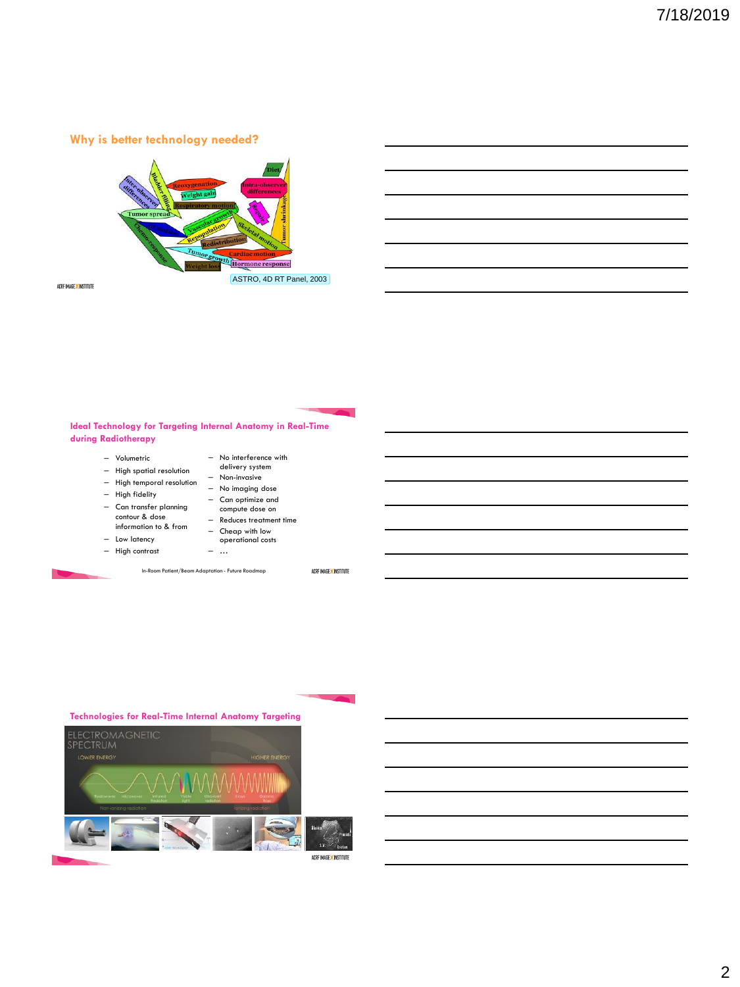### **Why is better technology needed?**



ACRF IMAGE X INSTITUTE

### **Ideal Technology for Targeting Internal Anatomy in Real-Time during Radiotherapy**

– Volumetric

– Low latency

- High spatial resolution delivery system
- High temporal resolution – Non-invasive – No imaging dose
- High fidelity
	- Can optimize and

– No interference with

- Can transfer planning contour & dose compute dose on – Reduces treatment time
	- information to & from
		- Cheap with low operational costs – …
- High contrast

In-Room Patient/Beam Adaptation - Future Roadmap

#### ACRF IMAGE X INSTITUTE

#### **Technologies for Real-Time Internal Anatomy Targeting**

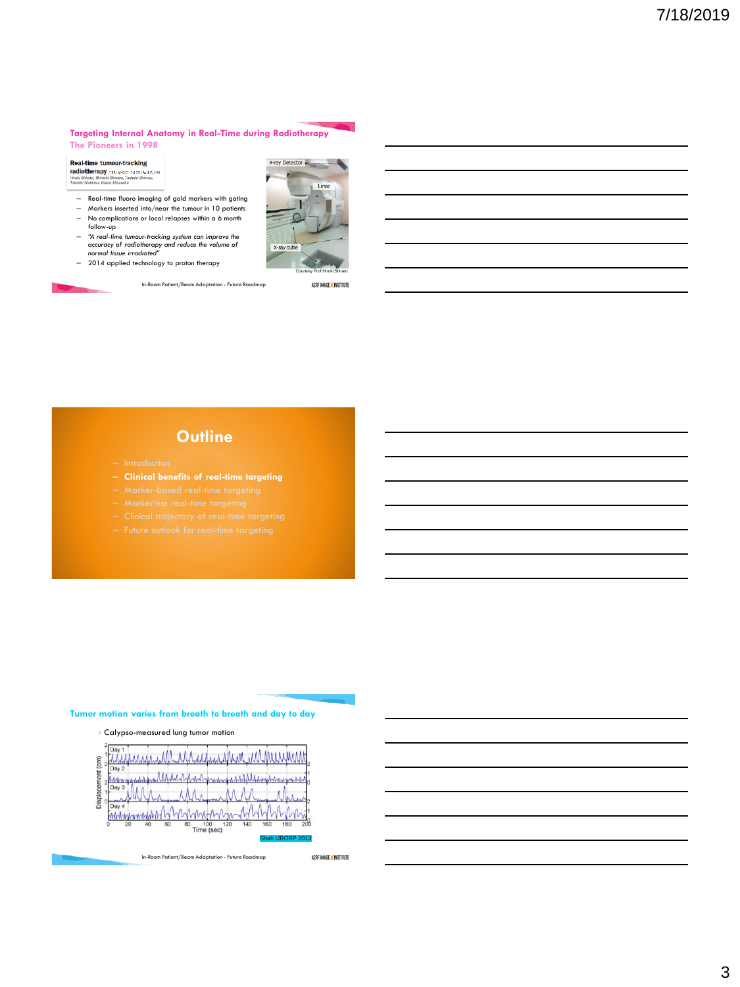#### **Targeting Internal Anatomy in Real-Time during Radiotherapy The Pioneers in 1998**

Real-time tumour-tracking Text Petric Correct Petroching<br>
Harbor Shvata, Shinkhi Shimizu, Tadashi Asil 17, 1999<br>
Hiroki Shvata, Shinkhi Shimizu, Tadashi Shimizu,<br>Takeshi Nishioka, Kazuo Miyasaka

- Real-time fluoro imaging of gold markers with gating Markers inserted into/near the tumour in 10 patients
- No complications or local relapses within a 6 month
- follow-up
- *"A real-time tumour-tracking system can improve the accuracy of radiotherapy and reduce the volume of normal tissue irradiated"*
- 2014 applied technology to proton therapy



In-Room Patient/Beam Adaptation - Future Roadmap

Courtesy Prof Hiroki Shirato ACRF IMAGE X INSTITUTE

Linac

 $X$ -ray Detector

X-ray tube

### **Outline**

- 
- **Clinical benefits of real-time targeting**
- 
- 
- 
- 

### **Tumor motion varies from breath to breath and day to day**



www.addata marka sana ARA. AAA.  $\widehat{E}$ Day 2 -A mmmmmmmm 100 120 80 140 Shah IJROBP 2013

In-Room Patient/Beam Adaptation - Future Roadmap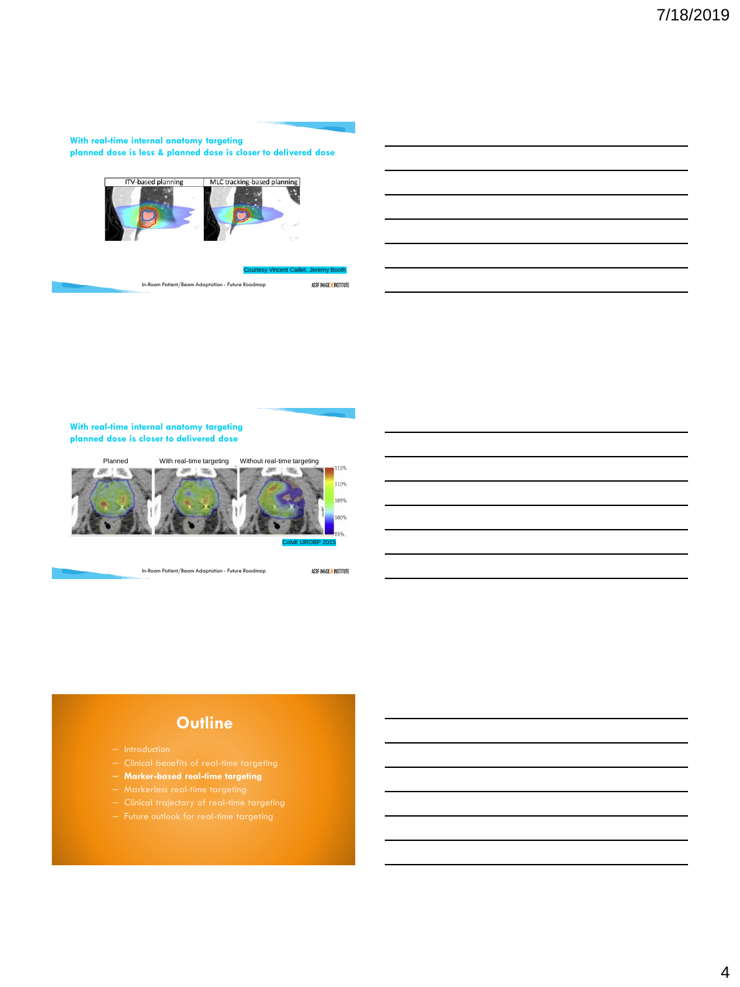### **With real-time internal anatomy targeting planned dose is less & planned dose is closer to delivered dose**



#### sy Vincent Caillet, Jeremy Booth

ACRF IMAGE X INSTITUTE In-Room Patient/Beam Adaptation - Future Roadmap

### **With real-time internal anatomy targeting planned dose is closer to delivered dose**



In-Room Patient/Beam Adaptation - Future Roadmap

ACRF IMAGE X INSTITUTE

- 
- 
- **Marker-based real-time targeting**
- 
- 
-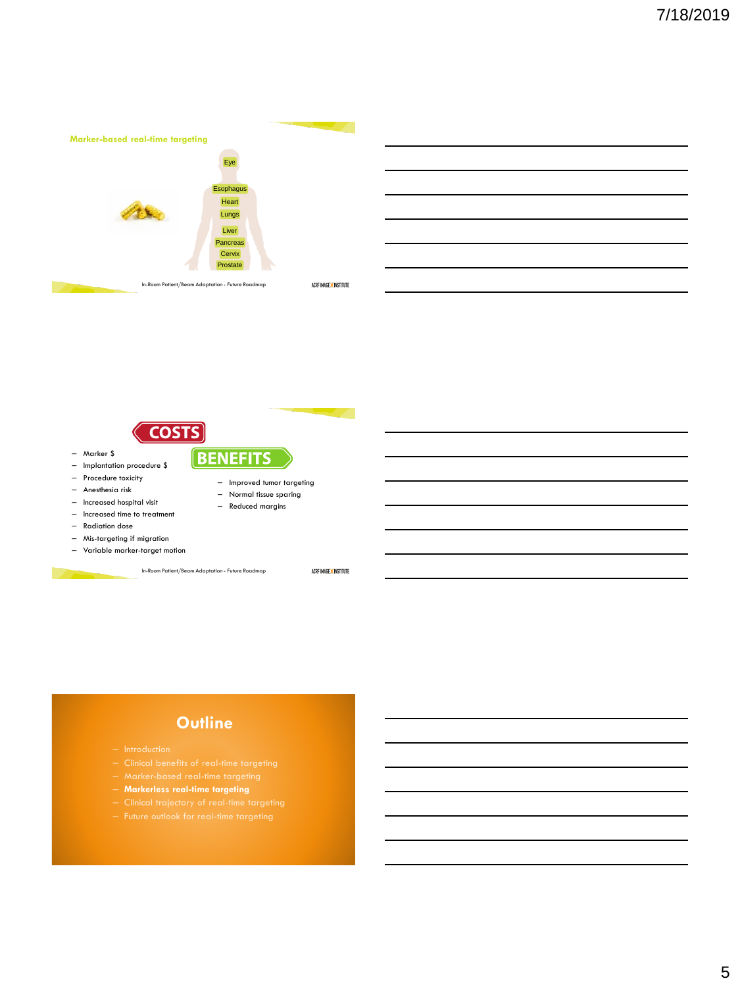



- Increased time to treatment
- Radiation dose

– Marker \$

- Mis-targeting if migration
- Variable marker-target motion

In-Room Patient/Beam Adaptation - Future Roadmap

ACRF IMAGE X INSTITUTE

- 
- 
- 
- **Markerless real-time targeting**
- 
-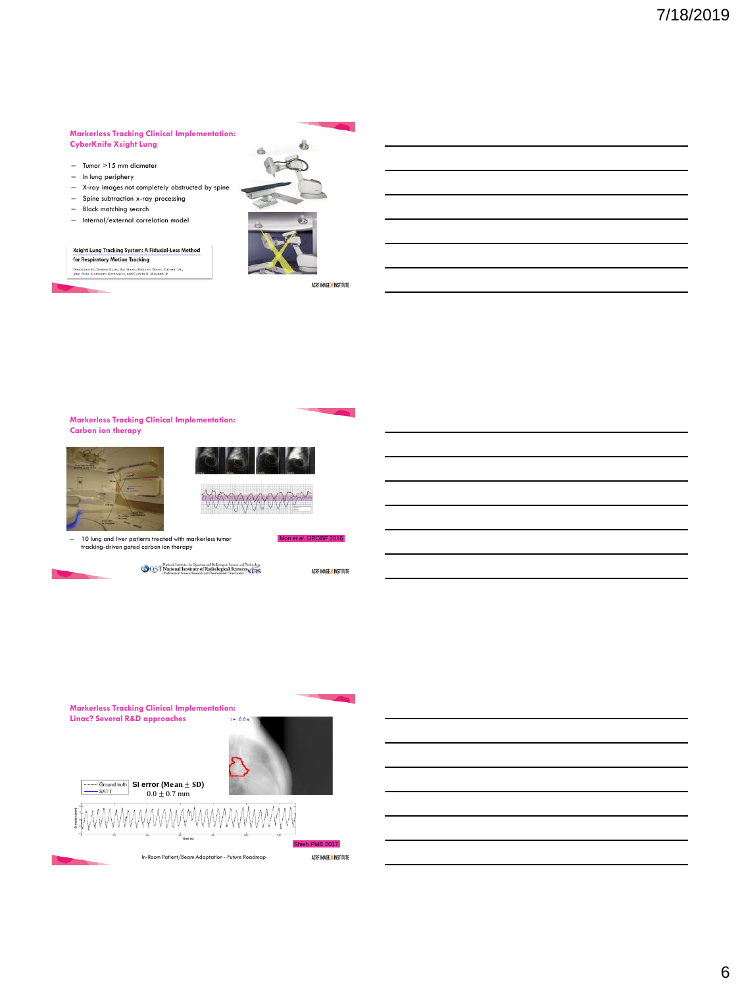#### **Markerless Tracking Clinical Implementation: CyberKnife Xsight Lung**

- Tumor >15 mm diameter
- In lung periphery
- X-ray images not completely obstructed by spine
- Spine subtraction x-ray processing
- Block matching search
- Internal/external correlation model

#### Xsight Lung Tracking System: A Fiducial-Less Method **for Respiratory Motion Tracking**

.<br>Dobushlan Fu, Robert Kahn, Bai Wang, Hobewu Wang, Zhipine Mu,<br>Jong Park, Gopinath Kuduvalli, and Calvin R. Maurer, Jr.





ACRF IMAGE X INSTITUTE

#### **Markerless Tracking Clinical Implementation: Carbon ion therapy**







– 10 lung and liver patients treated with markerless tumor tracking-driven gated carbon ion therapy







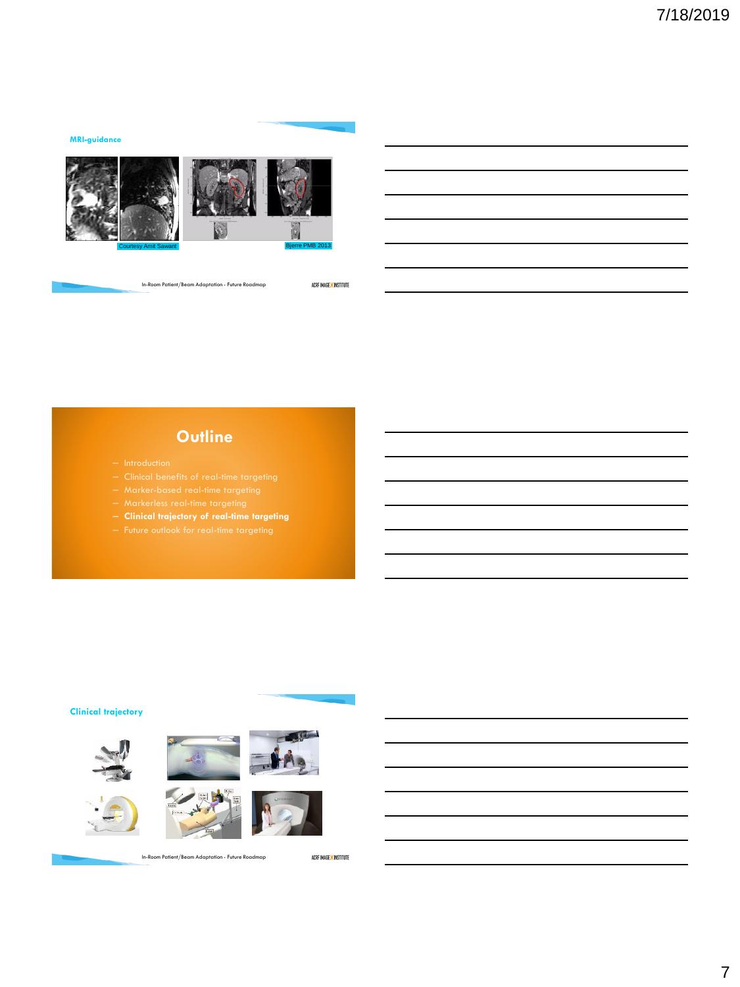### **MRI-guidance**





In-Room Patient/Beam Adaptation - Future Roadmap

ACRF IMAGE X INSTITUTE

# **Outline**

- 
- 
- 
- 
- **Clinical trajectory of real-time targeting**
- 

### **Clinical trajectory**













In-Room Patient/Beam Adaptation - Future Roadmap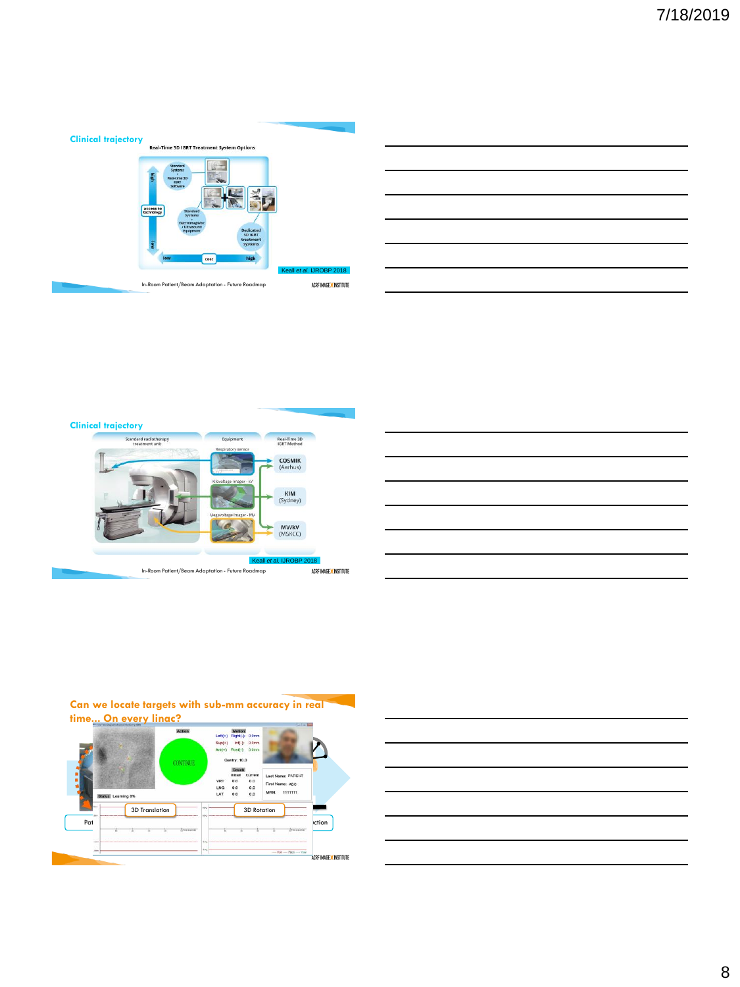

ACRF IMAGE <mark>X</mark> INSTITUTE In-Room Patient/Beam Adaptation - Future Roadmap





# **Can we locate targets with sub-mm accuracy in real**



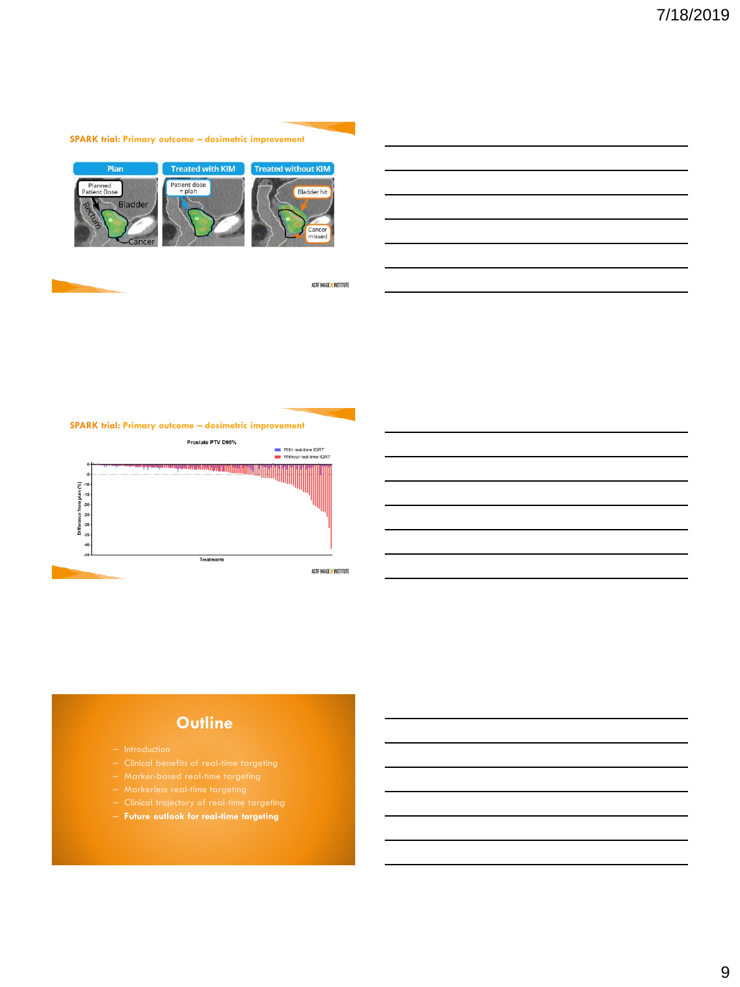



ACRF IMAGE X INSTITUTE





- 
- 
- 
- 
- 
- **Future outlook for real-time targeting**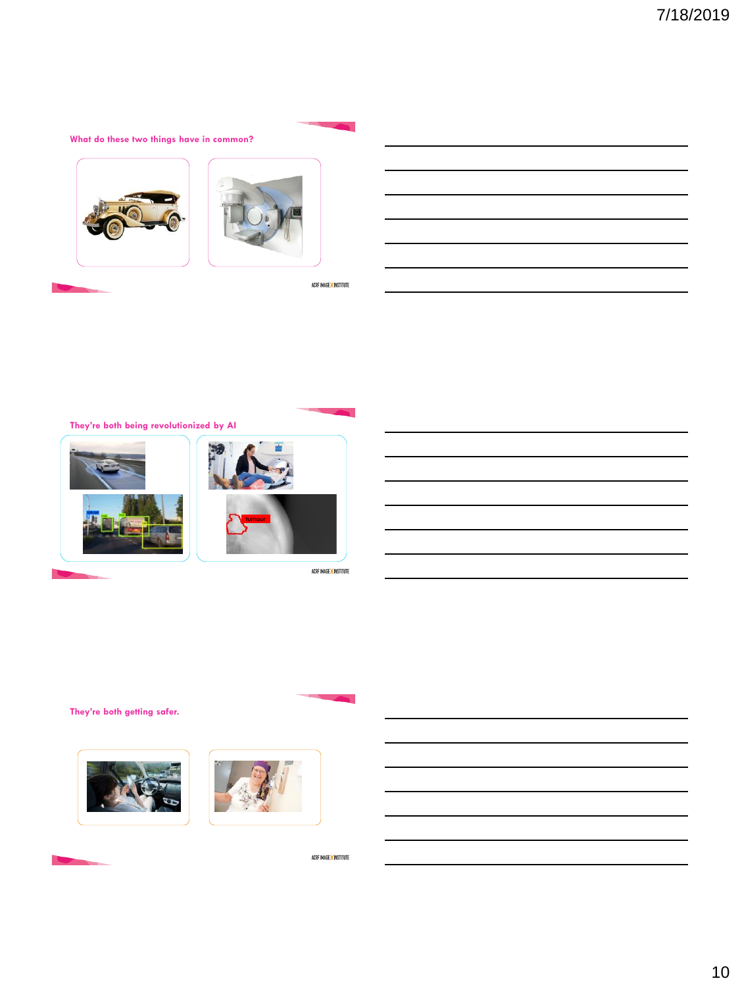**What do these two things have in common?**





ACRF IMAGE X INSTITUTE

**They're both being revolutionized by AI**





ACRF IMAGE <mark>X</mark> INSTITUTE

**They're both getting safer.** 



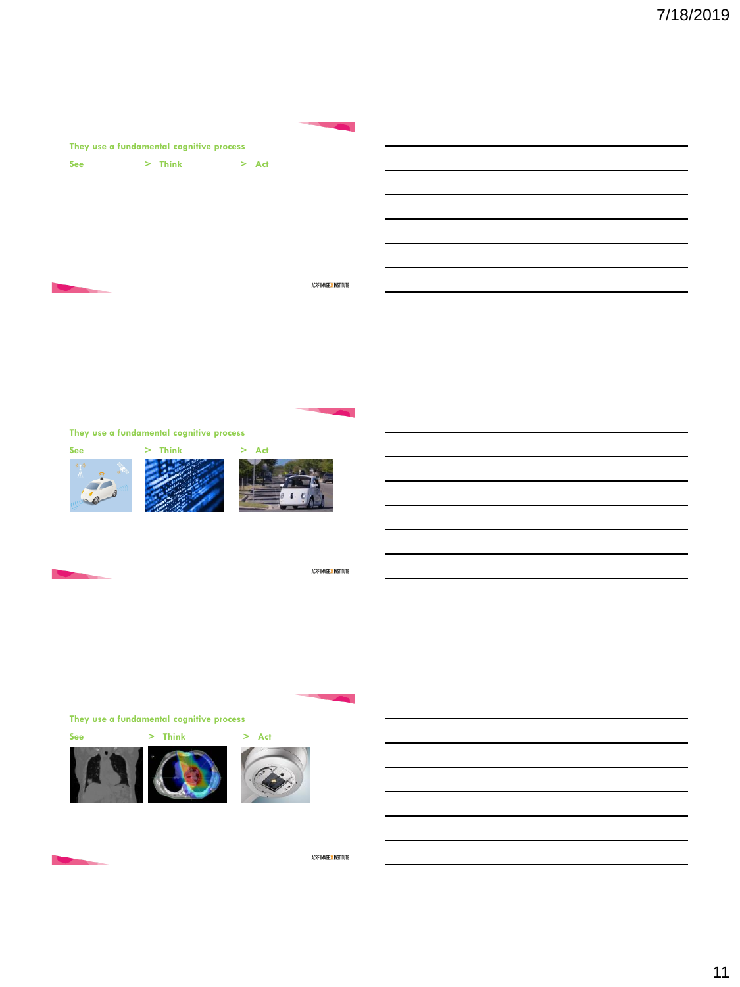| They use a fundamental cognitive process |                   |  |                        |  |
|------------------------------------------|-------------------|--|------------------------|--|
|                                          | See > Think > Act |  |                        |  |
|                                          |                   |  |                        |  |
|                                          |                   |  |                        |  |
|                                          |                   |  |                        |  |
|                                          |                   |  |                        |  |
|                                          |                   |  | ACRF IMAGE X INSTITUTE |  |
|                                          |                   |  |                        |  |
|                                          |                   |  |                        |  |

**They use a fundamental cognitive process**





ACRF IMAGE X INSTITUTE

**They use a fundamental cognitive process**